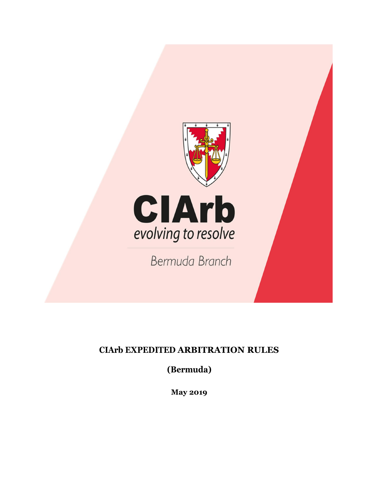

# **CIArb EXPEDITED ARBITRATION RULES**

**(Bermuda)**

**May 2019**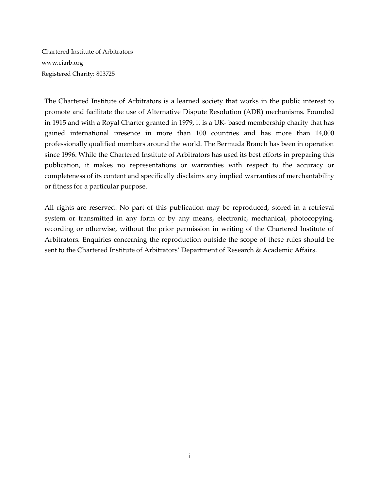Chartered Institute of Arbitrators www.ciarb.org Registered Charity: 803725

The Chartered Institute of Arbitrators is a learned society that works in the public interest to promote and facilitate the use of Alternative Dispute Resolution (ADR) mechanisms. Founded in 1915 and with a Royal Charter granted in 1979, it is a UK-based membership charity that has gained international presence in more than 100 countries and has more than 14,000 professionally qualified members around the world. The Bermuda Branch has been in operation since 1996. While the Chartered Institute of Arbitrators has used its best efforts in preparing this publication, it makes no representations or warranties with respect to the accuracy or completeness of its content and specifically disclaims any implied warranties of merchantability or fitness for a particular purpose.

All rights are reserved. No part of this publication may be reproduced, stored in a retrieval system or transmitted in any form or by any means, electronic, mechanical, photocopying, recording or otherwise, without the prior permission in writing of the Chartered Institute of Arbitrators. Enquiries concerning the reproduction outside the scope of these rules should be sent to the Chartered Institute of Arbitrators' Department of Research & Academic Affairs.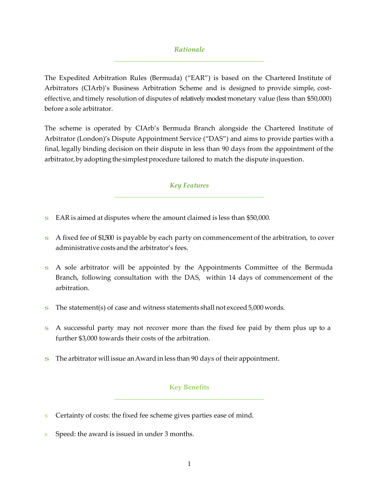## *Rationale* **\_\_\_\_\_\_\_\_\_\_\_\_\_\_\_\_\_\_\_\_\_\_\_\_\_\_\_\_\_\_\_\_\_\_\_\_\_\_\_\_\_\_\_\_**

The Expedited Arbitration Rules (Bermuda) ("EAR") is based on the Chartered Institute of Arbitrators (CIArb)'s Business Arbitration Scheme and is designed to provide simple, costeffective, and timely resolution of disputes of relatively modest monetary value (less than \$50,000) before a sole arbitrator.

The scheme is operated by CIArb's Bermuda Branch alongside the Chartered Institute of Arbitrator (London)'s Dispute Appointment Service ("DAS") and aims to provide parties with a final, legally binding decision on their dispute in less than 90 days from the appointment of the arbitrator, by adopting the simplest procedure tailored to match the dispute in question.

### *Key Features* **\_\_\_\_\_\_\_\_\_\_\_\_\_\_\_\_\_\_\_\_\_\_\_\_\_\_\_\_\_\_\_\_\_\_\_\_\_\_\_\_\_\_\_\_**

- s EAR is aimed at disputes where the amount claimed is less than \$50,000.
- s A fixed fee of \$1,500 is payable by each party on commencement of the arbitration, to cover administrative costs and the arbitrator's fees.
- s A sole arbitrator will be appointed by the Appointments Committee of the Bermuda Branch, following consultation with the DAS, within 14 days of commencement of the arbitration.
- s The statement(s) of case and witness statements shall not exceed 5,000 words.
- s A successful party may not recover more than the fixed fee paid by them plus up to a further \$3,000 towards their costs of the arbitration.
- s The arbitrator will issue an Award in less than 90 days of their appointment.

## **Key Benefits \_\_\_\_\_\_\_\_\_\_\_\_\_\_\_\_\_\_\_\_\_\_\_\_\_\_\_\_\_\_\_\_\_\_\_\_\_\_\_\_\_\_\_\_**

- s Certainty of costs: the fixed fee scheme gives parties ease of mind.
- Speed: the award is issued in under 3 months.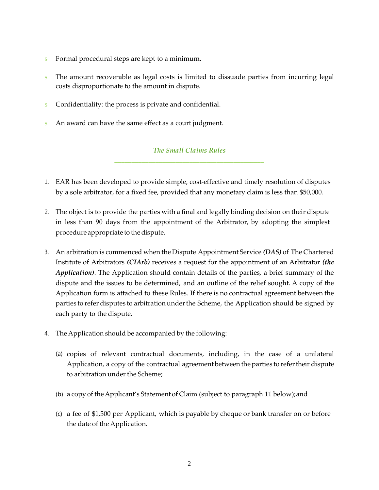- s Formal procedural steps are kept to a minimum.
- s The amount recoverable as legal costs is limited to dissuade parties from incurring legal costs disproportionate to the amount in dispute.
- s Confidentiality: the process is private and confidential.
- s An award can have the same effect as a court judgment.

## *The Small Claims Rules* **\_\_\_\_\_\_\_\_\_\_\_\_\_\_\_\_\_\_\_\_\_\_\_\_\_\_\_\_\_\_\_\_\_\_\_\_\_\_\_\_\_\_\_\_**

- 1. EAR has been developed to provide simple, cost-effective and timely resolution of disputes by a sole arbitrator, for a fixed fee, provided that any monetary claim is less than \$50,000.
- 2. The object is to provide the parties with a final and legally binding decision on their dispute in less than 90 days from the appointment of the Arbitrator, by adopting the simplest procedure appropriate to the dispute.
- 3. An arbitration is commenced when the Dispute Appointment Service *(DAS)* of The Chartered Institute of Arbitrators *(CIArb)* receives a request for the appointment of an Arbitrator *(the Application)*. The Application should contain details of the parties, a brief summary of the dispute and the issues to be determined, and an outline of the relief sought. A copy of the Application form is attached to these Rules. If there is no contractual agreement between the parties to refer disputes to arbitration under the Scheme, the Application should be signed by each party to the dispute.
- 4. The Application should be accompanied by the following:
	- (a) copies of relevant contractual documents, including, in the case of a unilateral Application, a copy of the contractual agreement between the parties to refer their dispute to arbitration under the Scheme;
	- (b) a copy of the Applicant's Statement of Claim (subject to paragraph 11 below); and
	- (c) a fee of \$1,500 per Applicant, which is payable by cheque or bank transfer on or before the date of the Application.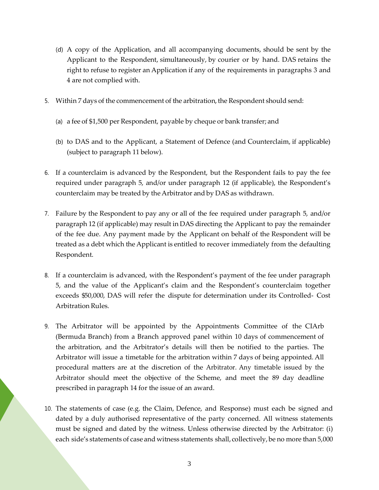- (d) A copy of the Application, and all accompanying documents, should be sent by the Applicant to the Respondent, simultaneously, by courier or by hand. DAS retains the right to refuse to register an Application if any of the requirements in paragraphs 3 and 4 are not complied with.
- 5. Within 7 days of the commencement of the arbitration, the Respondent should send:
	- (a) a fee of \$1,500 per Respondent, payable by cheque or bank transfer; and
	- (b) to DAS and to the Applicant, a Statement of Defence (and Counterclaim, if applicable) (subject to paragraph 11 below).
- 6. If a counterclaim is advanced by the Respondent, but the Respondent fails to pay the fee required under paragraph 5, and/or under paragraph 12 (if applicable), the Respondent's counterclaim may be treated by the Arbitrator and by DAS as withdrawn.
- 7. Failure by the Respondent to pay any or all of the fee required under paragraph 5, and/or paragraph 12 (if applicable) may result in DAS directing the Applicant to pay the remainder of the fee due. Any payment made by the Applicant on behalf of the Respondent will be treated as a debt which the Applicant is entitled to recover immediately from the defaulting Respondent.
- 8. If a counterclaim is advanced, with the Respondent's payment of the fee under paragraph 5, and the value of the Applicant's claim and the Respondent's counterclaim together exceeds \$50,000, DAS will refer the dispute for determination under its Controlled- Cost Arbitration Rules.
- 9. The Arbitrator will be appointed by the Appointments Committee of the CIArb (Bermuda Branch) from a Branch approved panel within 10 days of commencement of the arbitration, and the Arbitrator's details will then be notified to the parties. The Arbitrator will issue a timetable for the arbitration within 7 days of being appointed. All procedural matters are at the discretion of the Arbitrator. Any timetable issued by the Arbitrator should meet the objective of the Scheme, and meet the 89 day deadline prescribed in paragraph 14 for the issue of an award.
- 10. The statements of case (e.g. the Claim, Defence, and Response) must each be signed and dated by a duly authorised representative of the party concerned. All witness statements must be signed and dated by the witness. Unless otherwise directed by the Arbitrator: (i) each side's statements of case and witness statements shall, collectively, be no more than 5,000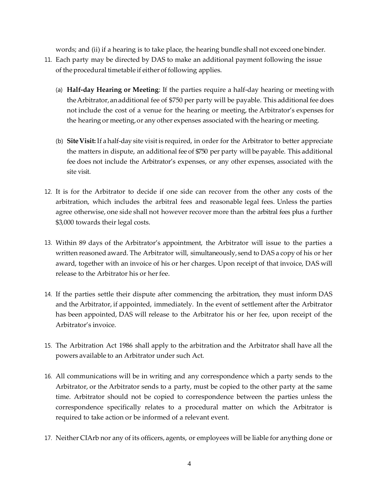words; and (ii) if a hearing is to take place, the hearing bundle shall not exceed one binder.

- 11. Each party may be directed by DAS to make an additional payment following the issue of the procedural timetable if either of following applies.
	- (a) **Half-day Hearing or Meeting**: If the parties require a halfday hearing or meeting with the Arbitrator, an additional fee of \$750 per party will be payable. This additional fee does not include the cost of a venue for the hearing or meeting, the Arbitrator's expenses for the hearing or meeting, or any other expenses associated with the hearing or meeting.
	- (b) Site Visit: If a half-day site visit is required, in order for the Arbitrator to better appreciate the matters in dispute, an additional fee of \$750 per party will be payable. This additional fee does not include the Arbitrator's expenses, or any other expenses, associated with the site visit.
- 12. It is for the Arbitrator to decide if one side can recover from the other any costs of the arbitration, which includes the arbitral fees and reasonable legal fees. Unless the parties agree otherwise, one side shall not however recover more than the arbitral fees plus a further \$3,000 towards their legal costs.
- 13. Within 89 days of the Arbitrator's appointment, the Arbitrator will issue to the parties a written reasoned award. The Arbitrator will, simultaneously, send to DAS a copy of his or her award, together with an invoice of his or her charges. Upon receipt of that invoice, DAS will release to the Arbitrator his or her fee.
- 14. If the parties settle their dispute after commencing the arbitration, they must inform DAS and the Arbitrator, if appointed, immediately. In the event of settlement after the Arbitrator has been appointed, DAS will release to the Arbitrator his or her fee, upon receipt of the Arbitrator's invoice.
- 15. The Arbitration Act 1986 shall apply to the arbitration and the Arbitrator shall have all the powers available to an Arbitrator under such Act.
- 16. All communications will be in writing and any correspondence which a party sends to the Arbitrator, or the Arbitrator sends to a party, must be copied to the other party at the same time. Arbitrator should not be copied to correspondence between the parties unless the correspondence specifically relates to a procedural matter on which the Arbitrator is required to take action or be informed of a relevant event.
- 17. Neither CIArb nor any of its officers, agents, or employees will be liable for anything done or